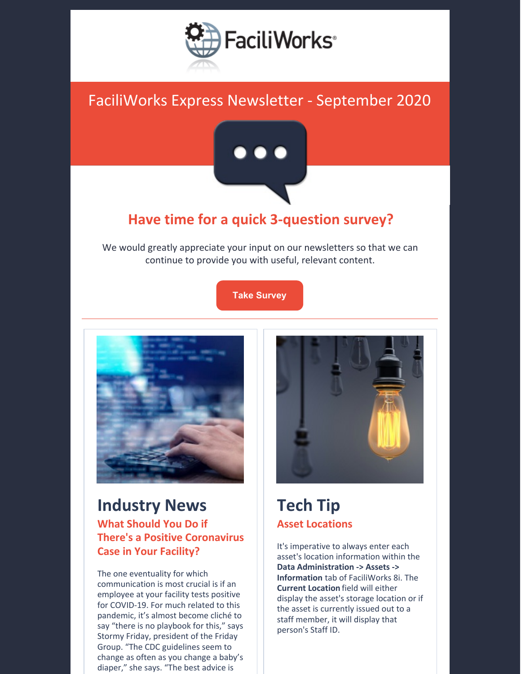

## FaciliWorks Express Newsletter - September 2020



### **Have time for a quick 3-question survey?**

We would greatly appreciate your input on our newsletters so that we can continue to provide you with useful, relevant content.

#### **Take [Survey](https://faciliworks.com/faciliworks-survey/)**



### **Industry News What Should You Do if There's a Positive Coronavirus Case in Your Facility?**

The one eventuality for which communication is most crucial is if an employee at your facility tests positive for COVID-19. For much related to this pandemic, it's almost become cliché to say "there is no playbook for this," says Stormy Friday, president of the Friday Group. "The CDC guidelines seem to change as often as you change a baby's diaper," she says. "The best advice is



# **Tech Tip Asset Locations**

It's imperative to always enter each asset's location information within the **Data Administration -> Assets -> Information** tab of FaciliWorks 8i. The **Current Location** field will either display the asset's storage location or if the asset is currently issued out to a staff member, it will display that person's Staff ID.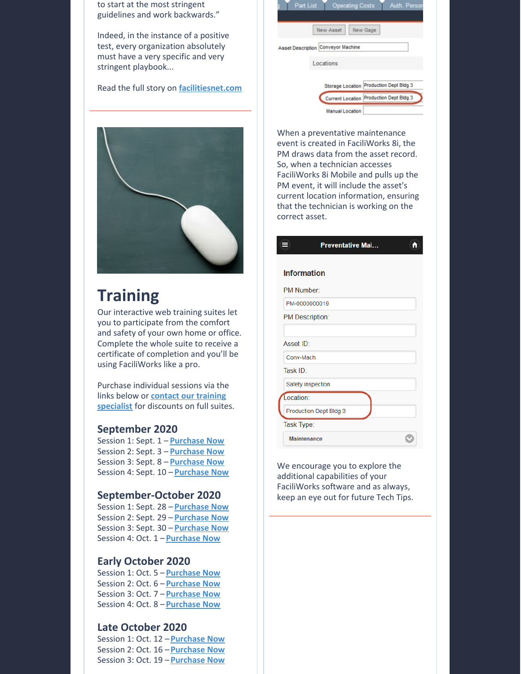|  |  | to start at the most stringent  |
|--|--|---------------------------------|
|  |  | guidelines and work backwards." |

Indeed, in the instance of a positive test, every organization absolutely must have a very specific and very stringent playbook...

Read the full story on **[facilitiesnet.com](https://www.facilitiesnet.com/facilitiesmanagement/article/What-Should-You-Do-if-Theres-a-Positive-Coronavirus-Case-in-Your-Facility---18993)**



# **Training**

Our interactive web training suites let you to participate from the comfort and safety of your own home or office. Complete the whole suite to receive a certificate of completion and you'll be using FaciliWorks like a pro.

Purchase individual sessions via the links below or **contact our training specialist** for [discounts](mailto:training@cybermetrics.com) on full suites.

#### **September 2020**

Session 1: Sept. 1 – **[Purchase](https://attendee.gototraining.com/r/8963323651643107842) Now** Session 2: Sept. 3 – **[Purchase](https://attendee.gototraining.com/r/3826453705185286146) Now** Session 3: Sept. 8 – **[Purchase](https://attendee.gototraining.com/r/3928364139429018882) Now** Session 4: Sept. 10 – **[Purchase](https://attendee.gototraining.com/r/1772039318430107394) Now**

#### **September-October 2020**

Session 1: Sept. 28 – **[Purchase](https://attendee.gototraining.com/r/9185471180854541570) Now** Session 2: Sept. 29 – **[Purchase](https://attendee.gototraining.com/r/6327992192869405698) Now** Session 3: Sept. 30 – **[Purchase](https://attendee.gototraining.com/r/2266596350981136386) Now** Session 4: Oct. 1 – **[Purchase](https://attendee.gototraining.com/r/275873374288072962) Now**

#### **Early October 2020**

Session 1: Oct. 5 – **[Purchase](https://attendee.gototraining.com/r/8044981854223099394) Now** Session 2: Oct. 6 – **[Purchase](https://attendee.gototraining.com/r/3715961583599270914) Now** Session 3: Oct. 7 – **[Purchase](https://attendee.gototraining.com/r/5745649053357511938) Now** Session 4: Oct. 8 – **[Purchase](https://attendee.gototraining.com/r/1196866095155214594) Now**

#### **Late October 2020**

Session 1: Oct. 12 –**[Purchase](https://attendee.gototraining.com/r/5474819548227036930) Now** Session 2: Oct. 16 –**[Purchase](https://attendee.gototraining.com/r/1011670953642450690) Now** Session 3: Oct. 19 –**[Purchase](https://attendee.gototraining.com/r/3599117582427287554) Now**

| New Asset<br>New Gage              |
|------------------------------------|
| Asset Description Conveyor Machine |
| Locations                          |
|                                    |

When a preventative maintenance event is created in FaciliWorks 8i, the PM draws data from the asset record. So, when a technician accesses FaciliWorks 8i Mobile and pulls up the PM event, it will include the asset's current location information, ensuring that the technician is working on the correct asset.

|                    | <b>Preventative Mai</b> | i. |
|--------------------|-------------------------|----|
| <b>Information</b> |                         |    |
|                    |                         |    |
| PM Number          |                         |    |
|                    | PM-0000000019           |    |
|                    | <b>PM Description:</b>  |    |
|                    |                         |    |
| Asset ID:          |                         |    |
| Conv-Mach          |                         |    |
| Task ID:           |                         |    |
|                    | Safety inspection       |    |
| Location:          |                         |    |
|                    | Production Dept Bldg 3  |    |
| Task Type:         |                         |    |
|                    | <b>Maintenance</b>      |    |
|                    |                         |    |

We encourage you to explore the additional capabilities of your FaciliWorks software and as always, keep an eye out for future Tech Tips.